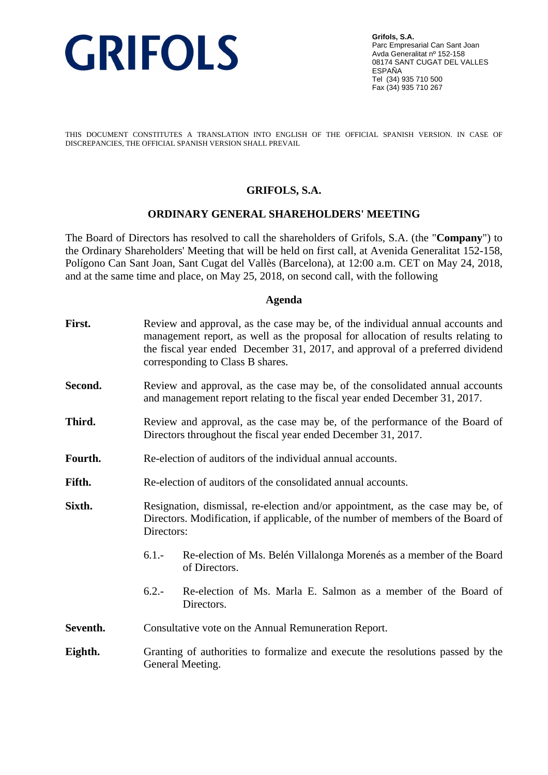

**Grifols, S.A.** Parc Empresarial Can Sant Joan Avda Generalitat nº 152-158 08174 SANT CUGAT DEL VALLES ESPAÑA Tel (34) 935 710 500 Fax (34) 935 710 267

THIS DOCUMENT CONSTITUTES A TRANSLATION INTO ENGLISH OF THE OFFICIAL SPANISH VERSION. IN CASE OF DISCREPANCIES, THE OFFICIAL SPANISH VERSION SHALL PREVAIL

## **GRIFOLS, S.A.**

#### **ORDINARY GENERAL SHAREHOLDERS' MEETING**

The Board of Directors has resolved to call the shareholders of Grifols, S.A. (the "**Company**") to the Ordinary Shareholders' Meeting that will be held on first call, at Avenida Generalitat 152-158, Polígono Can Sant Joan, Sant Cugat del Vallès (Barcelona), at 12:00 a.m. CET on May 24, 2018, and at the same time and place, on May 25, 2018, on second call, with the following

#### **Agenda**

| First.   | Review and approval, as the case may be, of the individual annual accounts and<br>management report, as well as the proposal for allocation of results relating to<br>the fiscal year ended December 31, 2017, and approval of a preferred dividend<br>corresponding to Class B shares. |
|----------|-----------------------------------------------------------------------------------------------------------------------------------------------------------------------------------------------------------------------------------------------------------------------------------------|
| Second.  | Review and approval, as the case may be, of the consolidated annual accounts<br>and management report relating to the fiscal year ended December 31, 2017.                                                                                                                              |
| Third.   | Review and approval, as the case may be, of the performance of the Board of<br>Directors throughout the fiscal year ended December 31, 2017.                                                                                                                                            |
| Fourth.  | Re-election of auditors of the individual annual accounts.                                                                                                                                                                                                                              |
| Fifth.   | Re-election of auditors of the consolidated annual accounts.                                                                                                                                                                                                                            |
| Sixth.   | Resignation, dismissal, re-election and/or appointment, as the case may be, of<br>Directors. Modification, if applicable, of the number of members of the Board of<br>Directors:                                                                                                        |
|          | $6.1 -$<br>Re-election of Ms. Belén Villalonga Morenés as a member of the Board<br>of Directors.                                                                                                                                                                                        |
|          | $6.2 -$<br>Re-election of Ms. Marla E. Salmon as a member of the Board of<br>Directors.                                                                                                                                                                                                 |
| Seventh. | Consultative vote on the Annual Remuneration Report.                                                                                                                                                                                                                                    |
| Eighth.  | Granting of authorities to formalize and execute the resolutions passed by the<br>General Meeting.                                                                                                                                                                                      |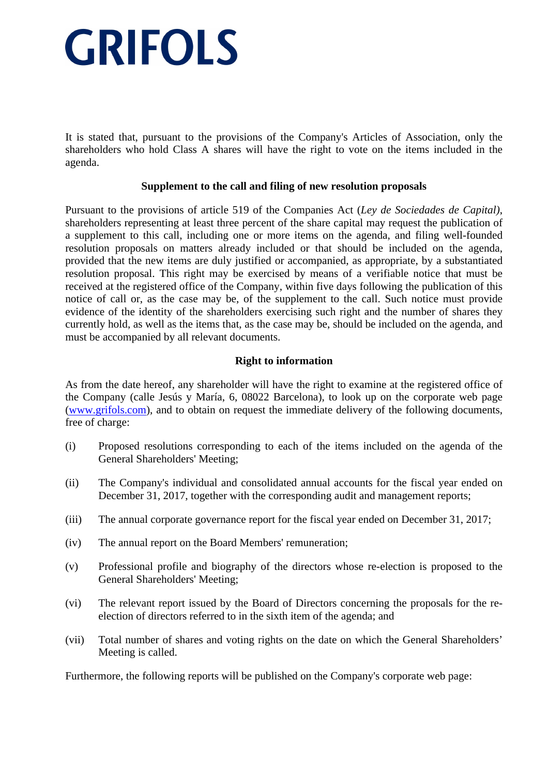It is stated that, pursuant to the provisions of the Company's Articles of Association, only the shareholders who hold Class A shares will have the right to vote on the items included in the agenda.

## **Supplement to the call and filing of new resolution proposals**

Pursuant to the provisions of article 519 of the Companies Act (*Ley de Sociedades de Capital)*, shareholders representing at least three percent of the share capital may request the publication of a supplement to this call, including one or more items on the agenda, and filing well-founded resolution proposals on matters already included or that should be included on the agenda, provided that the new items are duly justified or accompanied, as appropriate, by a substantiated resolution proposal. This right may be exercised by means of a verifiable notice that must be received at the registered office of the Company, within five days following the publication of this notice of call or, as the case may be, of the supplement to the call. Such notice must provide evidence of the identity of the shareholders exercising such right and the number of shares they currently hold, as well as the items that, as the case may be, should be included on the agenda, and must be accompanied by all relevant documents.

## **Right to information**

As from the date hereof, any shareholder will have the right to examine at the registered office of the Company (calle Jesús y María, 6, 08022 Barcelona), to look up on the corporate web page (www.grifols.com), and to obtain on request the immediate delivery of the following documents, free of charge:

- (i) Proposed resolutions corresponding to each of the items included on the agenda of the General Shareholders' Meeting;
- (ii) The Company's individual and consolidated annual accounts for the fiscal year ended on December 31, 2017, together with the corresponding audit and management reports;
- (iii) The annual corporate governance report for the fiscal year ended on December 31, 2017;
- (iv) The annual report on the Board Members' remuneration;
- (v) Professional profile and biography of the directors whose re-election is proposed to the General Shareholders' Meeting;
- (vi) The relevant report issued by the Board of Directors concerning the proposals for the reelection of directors referred to in the sixth item of the agenda; and
- (vii) Total number of shares and voting rights on the date on which the General Shareholders' Meeting is called.

Furthermore, the following reports will be published on the Company's corporate web page: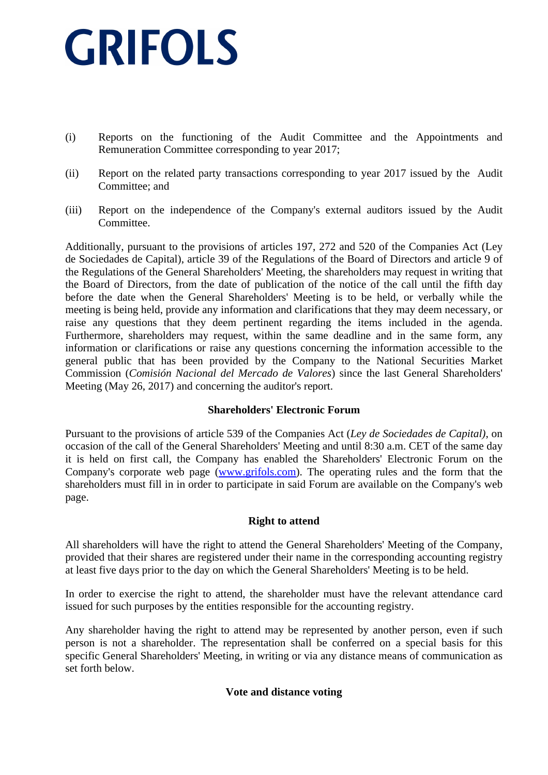- (i) Reports on the functioning of the Audit Committee and the Appointments and Remuneration Committee corresponding to year 2017;
- (ii) Report on the related party transactions corresponding to year 2017 issued by the Audit Committee; and
- (iii) Report on the independence of the Company's external auditors issued by the Audit Committee.

Additionally, pursuant to the provisions of articles 197, 272 and 520 of the Companies Act (Ley de Sociedades de Capital), article 39 of the Regulations of the Board of Directors and article 9 of the Regulations of the General Shareholders' Meeting, the shareholders may request in writing that the Board of Directors, from the date of publication of the notice of the call until the fifth day before the date when the General Shareholders' Meeting is to be held, or verbally while the meeting is being held, provide any information and clarifications that they may deem necessary, or raise any questions that they deem pertinent regarding the items included in the agenda. Furthermore, shareholders may request, within the same deadline and in the same form, any information or clarifications or raise any questions concerning the information accessible to the general public that has been provided by the Company to the National Securities Market Commission (*Comisión Nacional del Mercado de Valores*) since the last General Shareholders' Meeting (May 26, 2017) and concerning the auditor's report.

## **Shareholders' Electronic Forum**

Pursuant to the provisions of article 539 of the Companies Act (*Ley de Sociedades de Capital)*, on occasion of the call of the General Shareholders' Meeting and until 8:30 a.m. CET of the same day it is held on first call, the Company has enabled the Shareholders' Electronic Forum on the Company's corporate web page (www.grifols.com). The operating rules and the form that the shareholders must fill in in order to participate in said Forum are available on the Company's web page.

## **Right to attend**

All shareholders will have the right to attend the General Shareholders' Meeting of the Company, provided that their shares are registered under their name in the corresponding accounting registry at least five days prior to the day on which the General Shareholders' Meeting is to be held.

In order to exercise the right to attend, the shareholder must have the relevant attendance card issued for such purposes by the entities responsible for the accounting registry.

Any shareholder having the right to attend may be represented by another person, even if such person is not a shareholder. The representation shall be conferred on a special basis for this specific General Shareholders' Meeting, in writing or via any distance means of communication as set forth below.

### **Vote and distance voting**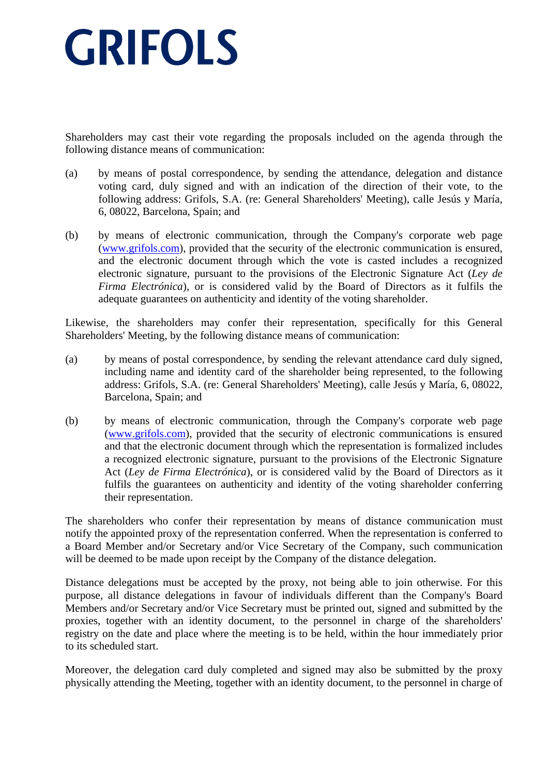Shareholders may cast their vote regarding the proposals included on the agenda through the following distance means of communication:

- (a) by means of postal correspondence, by sending the attendance, delegation and distance voting card, duly signed and with an indication of the direction of their vote, to the following address: Grifols, S.A. (re: General Shareholders' Meeting), calle Jesús y María, 6, 08022, Barcelona, Spain; and
- (b) by means of electronic communication, through the Company's corporate web page (www.grifols.com), provided that the security of the electronic communication is ensured, and the electronic document through which the vote is casted includes a recognized electronic signature, pursuant to the provisions of the Electronic Signature Act (*Ley de Firma Electrónica*), or is considered valid by the Board of Directors as it fulfils the adequate guarantees on authenticity and identity of the voting shareholder.

Likewise, the shareholders may confer their representation, specifically for this General Shareholders' Meeting, by the following distance means of communication:

- (a) by means of postal correspondence, by sending the relevant attendance card duly signed, including name and identity card of the shareholder being represented, to the following address: Grifols, S.A. (re: General Shareholders' Meeting), calle Jesús y María, 6, 08022, Barcelona, Spain; and
- (b) by means of electronic communication, through the Company's corporate web page (www.grifols.com), provided that the security of electronic communications is ensured and that the electronic document through which the representation is formalized includes a recognized electronic signature, pursuant to the provisions of the Electronic Signature Act (*Ley de Firma Electrónica*), or is considered valid by the Board of Directors as it fulfils the guarantees on authenticity and identity of the voting shareholder conferring their representation.

The shareholders who confer their representation by means of distance communication must notify the appointed proxy of the representation conferred. When the representation is conferred to a Board Member and/or Secretary and/or Vice Secretary of the Company, such communication will be deemed to be made upon receipt by the Company of the distance delegation.

Distance delegations must be accepted by the proxy, not being able to join otherwise. For this purpose, all distance delegations in favour of individuals different than the Company's Board Members and/or Secretary and/or Vice Secretary must be printed out, signed and submitted by the proxies, together with an identity document, to the personnel in charge of the shareholders' registry on the date and place where the meeting is to be held, within the hour immediately prior to its scheduled start.

Moreover, the delegation card duly completed and signed may also be submitted by the proxy physically attending the Meeting, together with an identity document, to the personnel in charge of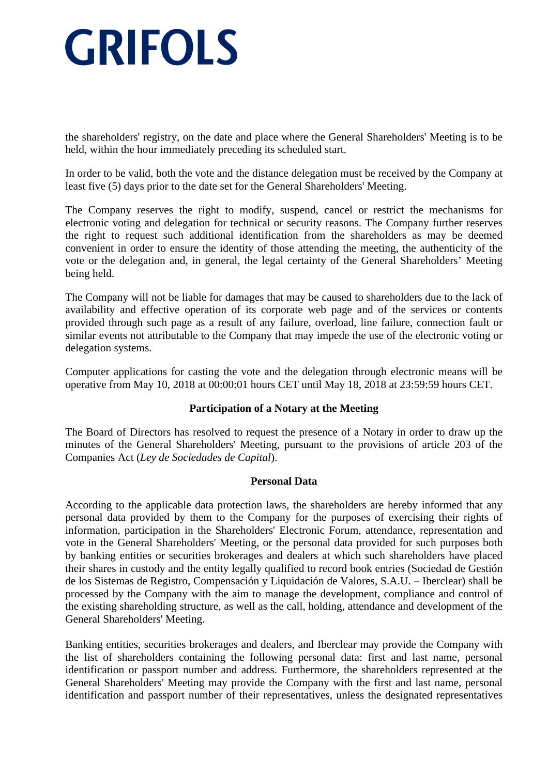the shareholders' registry, on the date and place where the General Shareholders' Meeting is to be held, within the hour immediately preceding its scheduled start.

In order to be valid, both the vote and the distance delegation must be received by the Company at least five (5) days prior to the date set for the General Shareholders' Meeting.

The Company reserves the right to modify, suspend, cancel or restrict the mechanisms for electronic voting and delegation for technical or security reasons. The Company further reserves the right to request such additional identification from the shareholders as may be deemed convenient in order to ensure the identity of those attending the meeting, the authenticity of the vote or the delegation and, in general, the legal certainty of the General Shareholders' Meeting being held.

The Company will not be liable for damages that may be caused to shareholders due to the lack of availability and effective operation of its corporate web page and of the services or contents provided through such page as a result of any failure, overload, line failure, connection fault or similar events not attributable to the Company that may impede the use of the electronic voting or delegation systems.

Computer applications for casting the vote and the delegation through electronic means will be operative from May 10, 2018 at 00:00:01 hours CET until May 18, 2018 at 23:59:59 hours CET.

## **Participation of a Notary at the Meeting**

The Board of Directors has resolved to request the presence of a Notary in order to draw up the minutes of the General Shareholders' Meeting, pursuant to the provisions of article 203 of the Companies Act (*Ley de Sociedades de Capital*).

### **Personal Data**

According to the applicable data protection laws, the shareholders are hereby informed that any personal data provided by them to the Company for the purposes of exercising their rights of information, participation in the Shareholders' Electronic Forum, attendance, representation and vote in the General Shareholders' Meeting, or the personal data provided for such purposes both by banking entities or securities brokerages and dealers at which such shareholders have placed their shares in custody and the entity legally qualified to record book entries (Sociedad de Gestión de los Sistemas de Registro, Compensación y Liquidación de Valores, S.A.U. – Iberclear) shall be processed by the Company with the aim to manage the development, compliance and control of the existing shareholding structure, as well as the call, holding, attendance and development of the General Shareholders' Meeting.

Banking entities, securities brokerages and dealers, and Iberclear may provide the Company with the list of shareholders containing the following personal data: first and last name, personal identification or passport number and address. Furthermore, the shareholders represented at the General Shareholders' Meeting may provide the Company with the first and last name, personal identification and passport number of their representatives, unless the designated representatives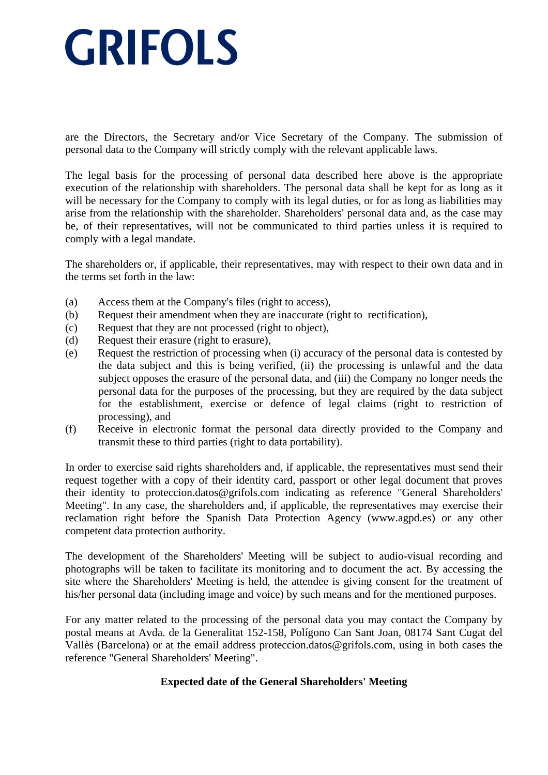are the Directors, the Secretary and/or Vice Secretary of the Company. The submission of personal data to the Company will strictly comply with the relevant applicable laws.

The legal basis for the processing of personal data described here above is the appropriate execution of the relationship with shareholders. The personal data shall be kept for as long as it will be necessary for the Company to comply with its legal duties, or for as long as liabilities may arise from the relationship with the shareholder. Shareholders' personal data and, as the case may be, of their representatives, will not be communicated to third parties unless it is required to comply with a legal mandate.

The shareholders or, if applicable, their representatives, may with respect to their own data and in the terms set forth in the law:

- (a) Access them at the Company's files (right to access),
- (b) Request their amendment when they are inaccurate (right to rectification),
- (c) Request that they are not processed (right to object),
- (d) Request their erasure (right to erasure),
- (e) Request the restriction of processing when (i) accuracy of the personal data is contested by the data subject and this is being verified, (ii) the processing is unlawful and the data subject opposes the erasure of the personal data, and (iii) the Company no longer needs the personal data for the purposes of the processing, but they are required by the data subject for the establishment, exercise or defence of legal claims (right to restriction of processing), and
- (f) Receive in electronic format the personal data directly provided to the Company and transmit these to third parties (right to data portability).

In order to exercise said rights shareholders and, if applicable, the representatives must send their request together with a copy of their identity card, passport or other legal document that proves their identity to proteccion.datos@grifols.com indicating as reference "General Shareholders' Meeting". In any case, the shareholders and, if applicable, the representatives may exercise their reclamation right before the Spanish Data Protection Agency (www.agpd.es) or any other competent data protection authority.

The development of the Shareholders' Meeting will be subject to audio-visual recording and photographs will be taken to facilitate its monitoring and to document the act. By accessing the site where the Shareholders' Meeting is held, the attendee is giving consent for the treatment of his/her personal data (including image and voice) by such means and for the mentioned purposes.

For any matter related to the processing of the personal data you may contact the Company by postal means at Avda. de la Generalitat 152-158, Polígono Can Sant Joan, 08174 Sant Cugat del Vallès (Barcelona) or at the email address proteccion.datos@grifols.com, using in both cases the reference "General Shareholders' Meeting".

## **Expected date of the General Shareholders' Meeting**